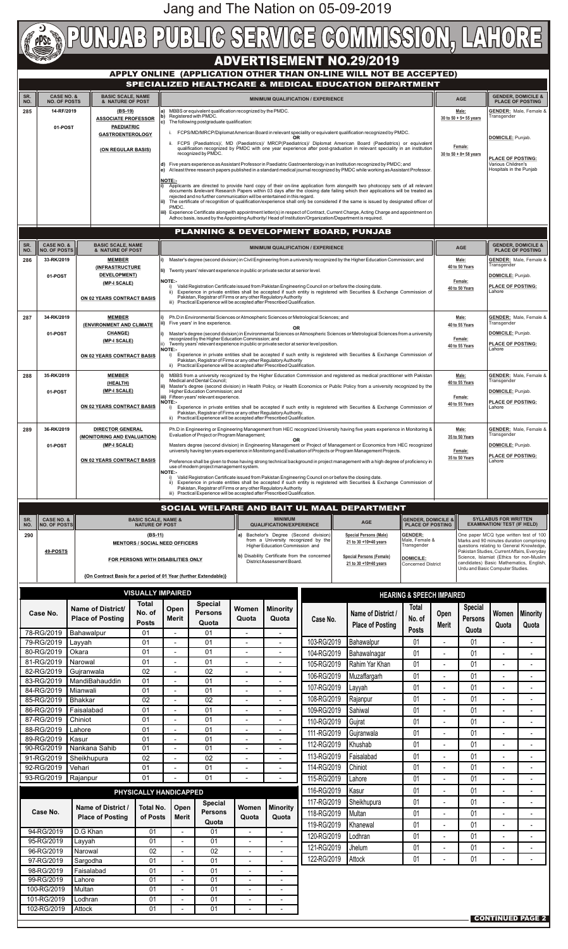# **ADVERTISEMENT NO.29/2019**

## **APPLY ONLINE (APPLICATION OTHER THAN ON-LINE WILL NOT BE ACCEPTED) SPECIALIZED HEALTHCARE & MEDICAL EDUCATION DEPARTMENT**

| SR.<br>NO. | <b>CASE NO. &amp;</b><br><b>BASIC SCALE, NAME</b><br><b>NO. OF POSTS</b><br>& NATURE OF POST |                                                                                                      | SPECIALIZED HEALTHCARE & MEDICAL EDUCATION DEPARTMENT<br><b>MINIMUM QUALIFICATION / EXPERIENCE</b>                                                                                                                                                                                                                                                                  |                                                                                                                                                                                                                                                                               |                                                                                                                                                                                                                                                                                                                                                                                         |                                                      |                                                                            |                                                                                                           |                                                                                                                                                                                                                                         | <b>AGE</b>                                               |                                  | <b>GENDER, DOMICILE &amp;</b><br><b>PLACE OF POSTING</b>                                                                       |                                                                   |                                  |
|------------|----------------------------------------------------------------------------------------------|------------------------------------------------------------------------------------------------------|---------------------------------------------------------------------------------------------------------------------------------------------------------------------------------------------------------------------------------------------------------------------------------------------------------------------------------------------------------------------|-------------------------------------------------------------------------------------------------------------------------------------------------------------------------------------------------------------------------------------------------------------------------------|-----------------------------------------------------------------------------------------------------------------------------------------------------------------------------------------------------------------------------------------------------------------------------------------------------------------------------------------------------------------------------------------|------------------------------------------------------|----------------------------------------------------------------------------|-----------------------------------------------------------------------------------------------------------|-----------------------------------------------------------------------------------------------------------------------------------------------------------------------------------------------------------------------------------------|----------------------------------------------------------|----------------------------------|--------------------------------------------------------------------------------------------------------------------------------|-------------------------------------------------------------------|----------------------------------|
| 285        | 14-RF/2019                                                                                   |                                                                                                      | <u>(BS-19)</u><br><b>ASSOCIATE PROFESSOR</b>                                                                                                                                                                                                                                                                                                                        |                                                                                                                                                                                                                                                                               | MBBS or equivalent qualification recognized by the PMDC.<br>a)<br>Registered with PMDC.<br>b١                                                                                                                                                                                                                                                                                           |                                                      |                                                                            |                                                                                                           |                                                                                                                                                                                                                                         |                                                          |                                  | Male:<br>30 to $50 + 5 = 55$ years                                                                                             | Transgender                                                       | <b>GENDER:</b> Male, Female &    |
|            | 01-POST                                                                                      |                                                                                                      | <b>PAEDIATRIC</b>                                                                                                                                                                                                                                                                                                                                                   |                                                                                                                                                                                                                                                                               | The following postgraduate qualification:<br>c)<br>FCPS/MD/MRCP/Diplomat American Board in relevant speciality or equivalent qualification recognized by PMDC.                                                                                                                                                                                                                          |                                                      |                                                                            |                                                                                                           |                                                                                                                                                                                                                                         |                                                          |                                  |                                                                                                                                |                                                                   |                                  |
|            |                                                                                              |                                                                                                      | <b>GASTROENTEROLOGY</b><br>(ON REGULAR BASIS)                                                                                                                                                                                                                                                                                                                       |                                                                                                                                                                                                                                                                               | OR.<br>ii. FCPS (Paediatrics)/, MD (Paediatrics)/ MRCP(Paediatrics)/ Diplomat American Board (Paediatrics) or equivalent<br>qualification recognized by PMDC with one year experience after post-graduation in relevant speciality in an institution                                                                                                                                    |                                                      |                                                                            |                                                                                                           |                                                                                                                                                                                                                                         |                                                          |                                  | Female:                                                                                                                        | DOMICILE: Punjab.                                                 |                                  |
|            |                                                                                              |                                                                                                      |                                                                                                                                                                                                                                                                                                                                                                     | d)                                                                                                                                                                                                                                                                            | recognized by PMDC.                                                                                                                                                                                                                                                                                                                                                                     |                                                      |                                                                            |                                                                                                           |                                                                                                                                                                                                                                         |                                                          |                                  | 30 to $50 + 8 = 58$ years                                                                                                      | <b>PLACE OF POSTING:</b><br>Various Children's                    |                                  |
|            |                                                                                              |                                                                                                      |                                                                                                                                                                                                                                                                                                                                                                     | Five years experience as Assistant Professor in Paediatric Gastroenterology in an Institution recognized by PMDC; and<br>At least three research papers published in a standard medical journal recognized by PMDC while working as Assistant Professor.<br>e)                |                                                                                                                                                                                                                                                                                                                                                                                         |                                                      |                                                                            |                                                                                                           |                                                                                                                                                                                                                                         |                                                          | Hospitals in the Punjab          |                                                                                                                                |                                                                   |                                  |
|            |                                                                                              |                                                                                                      |                                                                                                                                                                                                                                                                                                                                                                     | <b>NOTE:-</b><br>Applicants are directed to provide hard copy of their on-line application form alongwith two photocopy sets of all relevant<br>documents &relevant Research Papers within 03 days after the closing date failing which their applications will be treated as |                                                                                                                                                                                                                                                                                                                                                                                         |                                                      |                                                                            |                                                                                                           |                                                                                                                                                                                                                                         |                                                          |                                  |                                                                                                                                |                                                                   |                                  |
|            |                                                                                              |                                                                                                      | rejected and no further communication will be entertained in this regard.<br>The certificate of recognition of qualification/experience shall only be considered if the same is issued by designated officer of<br>ii).<br>PMDC.<br>Experience Certificate alongwith appointment letter(s) in respect of Contract, Current Charge, Acting Charge and appointment on |                                                                                                                                                                                                                                                                               |                                                                                                                                                                                                                                                                                                                                                                                         |                                                      |                                                                            |                                                                                                           |                                                                                                                                                                                                                                         |                                                          |                                  |                                                                                                                                |                                                                   |                                  |
|            |                                                                                              |                                                                                                      |                                                                                                                                                                                                                                                                                                                                                                     |                                                                                                                                                                                                                                                                               |                                                                                                                                                                                                                                                                                                                                                                                         |                                                      |                                                                            | Adhoc basis, issued by the Appointing Authority/ Head of Institution/Organization/Department is required. |                                                                                                                                                                                                                                         |                                                          |                                  |                                                                                                                                |                                                                   |                                  |
|            |                                                                                              |                                                                                                      |                                                                                                                                                                                                                                                                                                                                                                     |                                                                                                                                                                                                                                                                               | PLANNING & DEVELOPMENT BOARD, PUNJAB                                                                                                                                                                                                                                                                                                                                                    |                                                      |                                                                            |                                                                                                           |                                                                                                                                                                                                                                         |                                                          |                                  |                                                                                                                                |                                                                   |                                  |
| SR.<br>NO. | <b>CASE NO. &amp;</b><br><b>NO. OF POSTS</b>                                                 | <b>BASIC SCALE, NAME</b><br><b>MINIMUM QUALIFICATION / EXPERIENCE</b><br><b>&amp; NATURE OF POST</b> |                                                                                                                                                                                                                                                                                                                                                                     |                                                                                                                                                                                                                                                                               | <b>AGE</b>                                                                                                                                                                                                                                                                                                                                                                              |                                                      |                                                                            | <b>GENDER, DOMICILE &amp;</b><br><b>PLACE OF POSTING</b>                                                  |                                                                                                                                                                                                                                         |                                                          |                                  |                                                                                                                                |                                                                   |                                  |
| 286        | 33-RK/2019                                                                                   |                                                                                                      | <b>MEMBER</b><br><i><b>INFRASTRUCTURE</b></i><br><b>DEVELOPMENT)</b><br>(MP-I SCALE)<br><b>ON 02 YEARS CONTRACT BASIS</b>                                                                                                                                                                                                                                           |                                                                                                                                                                                                                                                                               | Master's degree (second division) in Civil Engineering from a university recognized by the Higher Education Commission; and                                                                                                                                                                                                                                                             |                                                      |                                                                            |                                                                                                           |                                                                                                                                                                                                                                         |                                                          | Male:<br>40 to 50 Years          | Transgender                                                                                                                    | <b>GENDER:</b> Male, Female &                                     |                                  |
|            | 01-POST                                                                                      |                                                                                                      |                                                                                                                                                                                                                                                                                                                                                                     |                                                                                                                                                                                                                                                                               | li) Twenty years' relevant experience in public or private sector at senior level.<br><b>NOTE:-</b>                                                                                                                                                                                                                                                                                     |                                                      |                                                                            |                                                                                                           |                                                                                                                                                                                                                                         |                                                          | Female:                          | DOMICILE: Punjab.<br><b>PLACE OF POSTING:</b>                                                                                  |                                                                   |                                  |
|            |                                                                                              |                                                                                                      |                                                                                                                                                                                                                                                                                                                                                                     |                                                                                                                                                                                                                                                                               | Valid Registration Certificate issued from Pakistan Engineering Council on or before the closing date.<br>Experience in private entities shall be accepted if such entity is registered with Securities & Exchange Commission of<br>ii)<br>Pakistan, Registrar of Firms or any other Regulatory Authority<br>iii) Practical Experience will be accepted after Prescribed Qualification. |                                                      |                                                                            |                                                                                                           |                                                                                                                                                                                                                                         |                                                          |                                  | 40 to 50 Years                                                                                                                 |                                                                   |                                  |
|            |                                                                                              |                                                                                                      |                                                                                                                                                                                                                                                                                                                                                                     |                                                                                                                                                                                                                                                                               |                                                                                                                                                                                                                                                                                                                                                                                         |                                                      |                                                                            |                                                                                                           |                                                                                                                                                                                                                                         |                                                          |                                  |                                                                                                                                |                                                                   |                                  |
| 287        | 34-RK/2019<br><b>MEMBER</b><br>(ENVIRONMENT AND CLIMATE                                      |                                                                                                      |                                                                                                                                                                                                                                                                                                                                                                     |                                                                                                                                                                                                                                                                               | Five years' in line experience.                                                                                                                                                                                                                                                                                                                                                         |                                                      | <b>OR</b>                                                                  | Ph.D in Environmental Sciences or Atmospheric Sciences or Metrological Sciences; and                      |                                                                                                                                                                                                                                         |                                                          |                                  | Male:<br>40 to 55 Years                                                                                                        | <b>GENDER:</b> Male, Female &<br>Transgender                      |                                  |
|            | 01-POST                                                                                      |                                                                                                      | <b>CHANGE)</b><br>(MP-I SCALE)                                                                                                                                                                                                                                                                                                                                      |                                                                                                                                                                                                                                                                               | Master's degree (second division) in Environmental Sciences or Atmospheric Sciences or Metrological Sciences from a university<br>recognized by the Higher Education Commission; and<br>Twenty years' relevant experience in public or private sector at senior level position.                                                                                                         |                                                      |                                                                            |                                                                                                           |                                                                                                                                                                                                                                         |                                                          |                                  | Female:<br>40 to 55 Years                                                                                                      | <b>DOMICILE: Punjab.</b><br><b>PLACE OF POSTING:</b>              |                                  |
|            |                                                                                              |                                                                                                      | <b>ON 02 YEARS CONTRACT BASIS</b>                                                                                                                                                                                                                                                                                                                                   | <b>NOTE:-</b><br>i)                                                                                                                                                                                                                                                           | Pakistan, Registrar of Firms or any other Regulatory Authority                                                                                                                                                                                                                                                                                                                          |                                                      |                                                                            |                                                                                                           | Experience in private entities shall be accepted if such entity is registered with Securities & Exchange Commission of                                                                                                                  |                                                          |                                  |                                                                                                                                | Lahore                                                            |                                  |
| 288        | 35-RK/2019                                                                                   |                                                                                                      | <b>MEMBER</b>                                                                                                                                                                                                                                                                                                                                                       | ii)                                                                                                                                                                                                                                                                           | Practical Experience will be accepted after Prescribed Qualification.                                                                                                                                                                                                                                                                                                                   |                                                      |                                                                            |                                                                                                           | MBBS from a university recognized by the Higher Education Commission and registered as medical practitioner with Pakistan                                                                                                               |                                                          |                                  | Male:                                                                                                                          |                                                                   | <b>GENDER:</b> Male, Female &    |
|            | 01-POST                                                                                      |                                                                                                      | (HEALTH)<br>(MP-I SCALE)                                                                                                                                                                                                                                                                                                                                            |                                                                                                                                                                                                                                                                               | Medical and Dental Council:<br>Higher Education Commission; and                                                                                                                                                                                                                                                                                                                         |                                                      |                                                                            |                                                                                                           | Master's degree (second division) in Health Policy, or Health Economics or Public Policy from a university recognized by the                                                                                                            |                                                          | 40 to 55 Years                   |                                                                                                                                | Transgender<br>DOMICILE: Punjab.                                  |                                  |
|            |                                                                                              |                                                                                                      | <b>ON 02 YEARS CONTRACT BASIS</b>                                                                                                                                                                                                                                                                                                                                   | <b>NOTE:-</b>                                                                                                                                                                                                                                                                 | iii) Fifteen years' relevant experience.                                                                                                                                                                                                                                                                                                                                                |                                                      |                                                                            |                                                                                                           | Experience in private entities shall be accepted if such entity is registered with Securities & Exchange Commission of                                                                                                                  |                                                          |                                  | Female:<br>40 to 55 Years                                                                                                      | <b>PLACE OF POSTING:</b><br>Lahore                                |                                  |
|            |                                                                                              |                                                                                                      |                                                                                                                                                                                                                                                                                                                                                                     |                                                                                                                                                                                                                                                                               | Pakistan, Registrar of Firms or any other Regulatory Authority.<br>ii) Practical Experience will be accepted after Prescribed Qualification.                                                                                                                                                                                                                                            |                                                      |                                                                            |                                                                                                           |                                                                                                                                                                                                                                         |                                                          |                                  |                                                                                                                                |                                                                   |                                  |
| 289        | 36-RK/2019                                                                                   |                                                                                                      | <b>DIRECTOR GENERAL</b><br>(MONITORING AND EVALUATION)                                                                                                                                                                                                                                                                                                              |                                                                                                                                                                                                                                                                               | Evaluation of Project or Program Management;                                                                                                                                                                                                                                                                                                                                            |                                                      |                                                                            |                                                                                                           | Ph.D in Engineering or Engineering Management from HEC recognized University having five years experience in Monitoring &                                                                                                               |                                                          |                                  | Male:<br>35 to 50 Years                                                                                                        | Transgender                                                       | <b>GENDER:</b> Male, Female &    |
|            | 01-POST                                                                                      |                                                                                                      | (MP-I SCALE)                                                                                                                                                                                                                                                                                                                                                        |                                                                                                                                                                                                                                                                               |                                                                                                                                                                                                                                                                                                                                                                                         |                                                      | ΟR                                                                         |                                                                                                           | Masters degree (second division) in Engineering Management or Project of Management or Economics from HEC recognized<br>university having ten years experience in Monitoring and Evaluation of Projects or Program Management Projects. |                                                          |                                  | Female:                                                                                                                        | <b>DOMICILE:</b> Punjab.                                          |                                  |
|            |                                                                                              |                                                                                                      | <b>ON 02 YEARS CONTRACT BASIS</b>                                                                                                                                                                                                                                                                                                                                   |                                                                                                                                                                                                                                                                               | use of modern project management system.                                                                                                                                                                                                                                                                                                                                                |                                                      |                                                                            |                                                                                                           | Preference shall be given to those having strong technical background in project management with a high degree of proficiency in                                                                                                        |                                                          |                                  | 35 to 50 Years                                                                                                                 | <b>PLACE OF POSTING:</b><br>Lahore                                |                                  |
|            |                                                                                              |                                                                                                      |                                                                                                                                                                                                                                                                                                                                                                     | <b>NOTE:-</b><br>ii)                                                                                                                                                                                                                                                          |                                                                                                                                                                                                                                                                                                                                                                                         |                                                      |                                                                            | Valid Registration Certificate issued from Pakistan Engineering Council on or before the closing date.    | Experience in private entities shall be accepted if such entity is registered with Securities & Exchange Commission of                                                                                                                  |                                                          |                                  |                                                                                                                                |                                                                   |                                  |
|            |                                                                                              |                                                                                                      |                                                                                                                                                                                                                                                                                                                                                                     |                                                                                                                                                                                                                                                                               | Pakistan, Registrar of Firms or any other Regulatory Authority<br>iii) Practical Experience will be accepted after Prescribed Qualification.                                                                                                                                                                                                                                            |                                                      |                                                                            |                                                                                                           |                                                                                                                                                                                                                                         |                                                          |                                  |                                                                                                                                |                                                                   |                                  |
|            |                                                                                              |                                                                                                      |                                                                                                                                                                                                                                                                                                                                                                     |                                                                                                                                                                                                                                                                               |                                                                                                                                                                                                                                                                                                                                                                                         |                                                      |                                                                            |                                                                                                           | SOCIAL WELFARE AND BAIT UL MAAL DEPARTMENT                                                                                                                                                                                              |                                                          |                                  |                                                                                                                                |                                                                   |                                  |
| SR.<br>NO. | <b>CASE NO. &amp;</b><br><b>NO. OF POSTS</b>                                                 | <b>BASIC SCALE, NAME &amp;</b><br><b>NATURE OF POST</b>                                              |                                                                                                                                                                                                                                                                                                                                                                     |                                                                                                                                                                                                                                                                               |                                                                                                                                                                                                                                                                                                                                                                                         |                                                      | <b>MINIMUM</b><br><b>QUALIFICATION/EXPERIENCE</b>                          |                                                                                                           | <b>AGE</b>                                                                                                                                                                                                                              | <b>GENDER, DOMICILE &amp;</b><br><b>PLACE OF POSTING</b> |                                  |                                                                                                                                | <b>SYLLABUS FOR WRITTEN</b><br><b>EXAMINATION/ TEST (IF HELD)</b> |                                  |
| 290        |                                                                                              |                                                                                                      |                                                                                                                                                                                                                                                                                                                                                                     |                                                                                                                                                                                                                                                                               |                                                                                                                                                                                                                                                                                                                                                                                         |                                                      |                                                                            |                                                                                                           |                                                                                                                                                                                                                                         |                                                          |                                  |                                                                                                                                |                                                                   |                                  |
|            |                                                                                              |                                                                                                      | $(BS-11)$<br><b>MENTORS / SOCIAL NEED OFFICERS</b>                                                                                                                                                                                                                                                                                                                  |                                                                                                                                                                                                                                                                               |                                                                                                                                                                                                                                                                                                                                                                                         |                                                      | Bachelor's Degree (Second division)<br>Higher Education Commission and     | from a University recognized by the                                                                       | <b>Special Persons (Male)</b><br>21 to 30 +10=40 years                                                                                                                                                                                  | <b>GENDER:</b><br>Male, Female &<br>Transgender          |                                  | One paper MCQ type written test of 100<br>Marks and 90 minutes duration comprising<br>questions relating to General Knowledge, |                                                                   |                                  |
|            | 49-POSTS                                                                                     |                                                                                                      | FOR PERSONS WITH DISABILITIES ONLY                                                                                                                                                                                                                                                                                                                                  |                                                                                                                                                                                                                                                                               |                                                                                                                                                                                                                                                                                                                                                                                         |                                                      | b) Disability Certificate from the concerned<br>District Assessment Board. |                                                                                                           | <b>Special Persons (Female)</b>                                                                                                                                                                                                         | <b>DOMICILE:</b>                                         |                                  | Pakistan Studies, Current Affairs, Everyday<br>Science, Islamiat (Ethics for non-Muslim                                        |                                                                   |                                  |
|            |                                                                                              |                                                                                                      |                                                                                                                                                                                                                                                                                                                                                                     |                                                                                                                                                                                                                                                                               | {On Contract Basis for a period of 01 Year (further Extendable)}                                                                                                                                                                                                                                                                                                                        |                                                      |                                                                            |                                                                                                           | 21 to 30 +10=40 years                                                                                                                                                                                                                   | <b>Concerned District</b>                                |                                  | candidates) Basic Mathematics, English,<br>Urdu and Basic Computer Studies.                                                    |                                                                   |                                  |
|            |                                                                                              |                                                                                                      | <b>VISUALLY IMPAIRED</b>                                                                                                                                                                                                                                                                                                                                            |                                                                                                                                                                                                                                                                               |                                                                                                                                                                                                                                                                                                                                                                                         |                                                      |                                                                            |                                                                                                           |                                                                                                                                                                                                                                         |                                                          |                                  |                                                                                                                                |                                                                   |                                  |
|            |                                                                                              |                                                                                                      | Total                                                                                                                                                                                                                                                                                                                                                               |                                                                                                                                                                                                                                                                               | <b>Special</b>                                                                                                                                                                                                                                                                                                                                                                          |                                                      |                                                                            |                                                                                                           |                                                                                                                                                                                                                                         | <b>HEARING &amp; SPEECH IMPAIRED</b><br>Total            |                                  | <b>Special</b>                                                                                                                 |                                                                   |                                  |
|            | Case No.                                                                                     | <b>Name of District/</b><br><b>Place of Posting</b>                                                  | No. of<br><b>Posts</b>                                                                                                                                                                                                                                                                                                                                              | Open<br><b>Merit</b>                                                                                                                                                                                                                                                          | <b>Persons</b><br>Quota                                                                                                                                                                                                                                                                                                                                                                 | Women<br>Quota                                       | <b>Minority</b><br>Quota                                                   | Case No.                                                                                                  | Name of District /                                                                                                                                                                                                                      | No. of                                                   | Open                             | <b>Persons</b>                                                                                                                 |                                                                   | Women   Minority                 |
|            | 78-RG/2019                                                                                   | Bahawalpur                                                                                           | 01                                                                                                                                                                                                                                                                                                                                                                  |                                                                                                                                                                                                                                                                               | 01                                                                                                                                                                                                                                                                                                                                                                                      | $\overline{\phantom{a}}$                             | $\qquad \qquad -$                                                          |                                                                                                           | <b>Place of Posting</b>                                                                                                                                                                                                                 | <b>Posts</b>                                             | <b>Merit</b>                     | Quota                                                                                                                          | Quota                                                             | Quota                            |
|            | 79-RG/2019<br>80-RG/2019                                                                     | Layyah<br>Okara                                                                                      | 01<br>01                                                                                                                                                                                                                                                                                                                                                            |                                                                                                                                                                                                                                                                               | 01<br>01                                                                                                                                                                                                                                                                                                                                                                                | $\overline{\phantom{a}}$<br>$\overline{\phantom{a}}$ | $\blacksquare$<br>$\overline{\phantom{a}}$                                 | 103-RG/2019<br>104-RG/2019                                                                                | Bahawalpur<br>Bahawalnagar                                                                                                                                                                                                              | 01<br>01                                                 | $\blacksquare$<br>$\blacksquare$ | 01<br>01                                                                                                                       | $\blacksquare$                                                    | $\blacksquare$<br>$\blacksquare$ |
|            | 81-RG/2019                                                                                   | Narowal                                                                                              | 01                                                                                                                                                                                                                                                                                                                                                                  |                                                                                                                                                                                                                                                                               | 01                                                                                                                                                                                                                                                                                                                                                                                      | $\overline{\phantom{a}}$                             |                                                                            | 105-RG/2019                                                                                               | Rahim Yar Khan                                                                                                                                                                                                                          | 01                                                       |                                  | 01                                                                                                                             | $\blacksquare$                                                    | $\blacksquare$                   |
|            | 82-RG/2019<br>83-RG/2019                                                                     | Gujranwala<br>MandiBahauddin                                                                         | 02<br>01                                                                                                                                                                                                                                                                                                                                                            |                                                                                                                                                                                                                                                                               | 02<br>01                                                                                                                                                                                                                                                                                                                                                                                | $\overline{\phantom{a}}$                             |                                                                            | 106-RG/2019                                                                                               | Muzaffargarh                                                                                                                                                                                                                            | 01                                                       | $\blacksquare$                   | 01                                                                                                                             |                                                                   | $\blacksquare$                   |
|            | 84-RG/2019<br>85-RG/2019                                                                     | Mianwali<br><b>Bhakkar</b>                                                                           | 01<br>02                                                                                                                                                                                                                                                                                                                                                            | $\blacksquare$                                                                                                                                                                                                                                                                | 01<br>02                                                                                                                                                                                                                                                                                                                                                                                | $\overline{\phantom{0}}$                             | $\overline{a}$                                                             | 107-RG/2019<br>108-RG/2019                                                                                | Layyah<br>Rajanpur                                                                                                                                                                                                                      | 01<br>01                                                 | $\blacksquare$                   | 01<br>01                                                                                                                       |                                                                   | $\blacksquare$                   |
|            | 86-RG/2019                                                                                   | Faisalabad                                                                                           | 01                                                                                                                                                                                                                                                                                                                                                                  | $\overline{\phantom{a}}$                                                                                                                                                                                                                                                      | 01                                                                                                                                                                                                                                                                                                                                                                                      | $\overline{\phantom{a}}$                             | $\overline{\phantom{a}}$                                                   | 109-RG/2019                                                                                               | Sahiwal                                                                                                                                                                                                                                 | 01                                                       | $\blacksquare$                   | 01                                                                                                                             | $\blacksquare$                                                    | $\blacksquare$                   |
|            | 87-RG/2019<br>88-RG/2019                                                                     | Chiniot<br>Lahore                                                                                    | 01<br>01                                                                                                                                                                                                                                                                                                                                                            |                                                                                                                                                                                                                                                                               | 01<br>01                                                                                                                                                                                                                                                                                                                                                                                | $\overline{\phantom{a}}$                             | $\overline{\phantom{a}}$                                                   | 110-RG/2019                                                                                               | Gujrat                                                                                                                                                                                                                                  | 01                                                       |                                  | 01                                                                                                                             |                                                                   | $\blacksquare$                   |
|            | 89-RG/2019                                                                                   | Kasur                                                                                                | 01                                                                                                                                                                                                                                                                                                                                                                  | $\blacksquare$                                                                                                                                                                                                                                                                | 01                                                                                                                                                                                                                                                                                                                                                                                      | $\blacksquare$                                       | $\overline{\phantom{a}}$                                                   | 111-RG/2019<br>112-RG/2019                                                                                | Gujranwala<br>Khushab                                                                                                                                                                                                                   | 01<br>01                                                 | $\blacksquare$<br>$\blacksquare$ | 01<br>01                                                                                                                       |                                                                   | $\blacksquare$<br>$\blacksquare$ |
|            | 90-RG/2019<br>91-RG/2019                                                                     | Nankana Sahib<br>Sheikhupura                                                                         | 01<br>02                                                                                                                                                                                                                                                                                                                                                            |                                                                                                                                                                                                                                                                               | 01<br>02                                                                                                                                                                                                                                                                                                                                                                                | $\overline{\phantom{a}}$                             |                                                                            | 113-RG/2019                                                                                               | Faisalabad                                                                                                                                                                                                                              | 01                                                       | $\blacksquare$                   | 01                                                                                                                             |                                                                   | $\blacksquare$                   |
|            | 92-RG/2019                                                                                   | Vehari                                                                                               | 01                                                                                                                                                                                                                                                                                                                                                                  |                                                                                                                                                                                                                                                                               | 01                                                                                                                                                                                                                                                                                                                                                                                      |                                                      | $\overline{\phantom{a}}$                                                   | 114-RG/2019                                                                                               | Chiniot                                                                                                                                                                                                                                 | 01                                                       | $\blacksquare$                   | 01                                                                                                                             |                                                                   | $\blacksquare$                   |
|            | 93-RG/2019                                                                                   | Rajanpur                                                                                             | 01<br>PHYSICALLY HANDICAPPED                                                                                                                                                                                                                                                                                                                                        |                                                                                                                                                                                                                                                                               | 01                                                                                                                                                                                                                                                                                                                                                                                      |                                                      |                                                                            | 115-RG/2019<br>116-RG/2019                                                                                | Lahore<br>Kasur                                                                                                                                                                                                                         | 01<br>01                                                 | $\blacksquare$                   | 01<br>01                                                                                                                       |                                                                   | $\blacksquare$                   |
|            |                                                                                              | Name of District /                                                                                   | <b>Total No.</b>                                                                                                                                                                                                                                                                                                                                                    | Open                                                                                                                                                                                                                                                                          | <b>Special</b>                                                                                                                                                                                                                                                                                                                                                                          | <b>Women</b>                                         | <b>Minority</b>                                                            | 117-RG/2019                                                                                               | Sheikhupura                                                                                                                                                                                                                             | 01                                                       | $\blacksquare$                   | 01                                                                                                                             |                                                                   | $\blacksquare$                   |
|            | Case No.                                                                                     | <b>Place of Posting</b>                                                                              | of Posts                                                                                                                                                                                                                                                                                                                                                            | <b>Merit</b>                                                                                                                                                                                                                                                                  | <b>Persons</b><br>Quota                                                                                                                                                                                                                                                                                                                                                                 | Quota                                                | Quota                                                                      | 118-RG/2019                                                                                               | Multan                                                                                                                                                                                                                                  | 01                                                       | $\blacksquare$<br>$\blacksquare$ | 01                                                                                                                             | $\blacksquare$<br>$\blacksquare$                                  | $\blacksquare$<br>$\blacksquare$ |
|            | 94-RG/2019                                                                                   | D.G Khan                                                                                             | 01                                                                                                                                                                                                                                                                                                                                                                  |                                                                                                                                                                                                                                                                               | 01                                                                                                                                                                                                                                                                                                                                                                                      |                                                      |                                                                            | 119-RG/2019<br>120-RG/2019                                                                                | Khanewal<br>Lodhran                                                                                                                                                                                                                     | 01<br>01                                                 |                                  | 01<br>01                                                                                                                       |                                                                   | $\blacksquare$                   |
|            | 95-RG/2019<br>96-RG/2019                                                                     | Layyah<br>Narowal                                                                                    | 01<br>02                                                                                                                                                                                                                                                                                                                                                            | $\blacksquare$                                                                                                                                                                                                                                                                | 01<br>02                                                                                                                                                                                                                                                                                                                                                                                | $\overline{\phantom{a}}$                             |                                                                            | 121-RG/2019                                                                                               | Jhelum                                                                                                                                                                                                                                  | 01                                                       | $\blacksquare$                   | 01                                                                                                                             |                                                                   | $\blacksquare$                   |
|            | 97-RG/2019                                                                                   | Sargodha                                                                                             | 01                                                                                                                                                                                                                                                                                                                                                                  |                                                                                                                                                                                                                                                                               | 01                                                                                                                                                                                                                                                                                                                                                                                      |                                                      | $\overline{\phantom{0}}$                                                   | 122-RG/2019                                                                                               | Attock                                                                                                                                                                                                                                  | 01                                                       | ۰                                | 01                                                                                                                             |                                                                   | $\blacksquare$                   |
|            | 98-RG/2019<br>99-RG/2019                                                                     | Faisalabad<br>Lahore                                                                                 | 01<br>01                                                                                                                                                                                                                                                                                                                                                            |                                                                                                                                                                                                                                                                               | 01<br>01                                                                                                                                                                                                                                                                                                                                                                                |                                                      |                                                                            |                                                                                                           |                                                                                                                                                                                                                                         |                                                          |                                  |                                                                                                                                |                                                                   |                                  |
|            | 100-RG/2019                                                                                  | Multan                                                                                               | 01                                                                                                                                                                                                                                                                                                                                                                  |                                                                                                                                                                                                                                                                               | 01                                                                                                                                                                                                                                                                                                                                                                                      | $\overline{\phantom{a}}$                             | -                                                                          |                                                                                                           |                                                                                                                                                                                                                                         |                                                          |                                  |                                                                                                                                |                                                                   |                                  |
|            | 101-RG/2019<br>102-RG/2019                                                                   | Lodhran<br>Attock                                                                                    | 01<br>01                                                                                                                                                                                                                                                                                                                                                            |                                                                                                                                                                                                                                                                               | 01<br>01                                                                                                                                                                                                                                                                                                                                                                                |                                                      |                                                                            |                                                                                                           |                                                                                                                                                                                                                                         |                                                          |                                  |                                                                                                                                |                                                                   | <b>CONTINUED PAGE 2</b>          |

Jang and The Nation on 05-09-2019

#### PUBLIC SERVICE COMMISSION, LAHORE PUI J  $\left(\begin{matrix} 1 \\ 0 \end{matrix}\right)$ 心能  $\mathcal{V}$